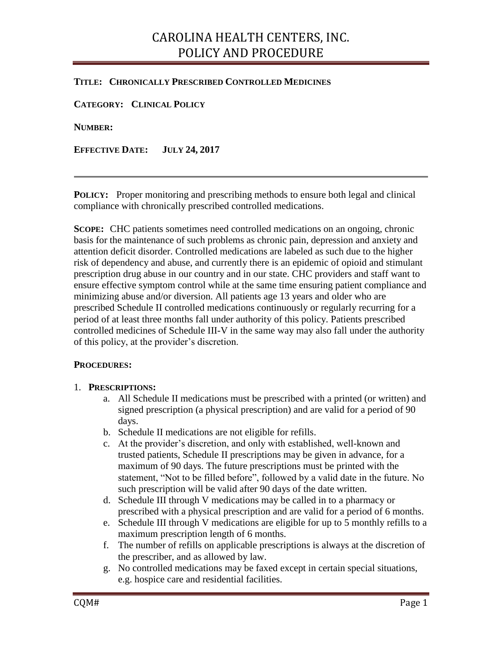## CAROLINA HEALTH CENTERS, INC. POLICY AND PROCEDURE

### **TITLE: CHRONICALLY PRESCRIBED CONTROLLED MEDICINES**

**CATEGORY: CLINICAL POLICY**

**NUMBER:**

**EFFECTIVE DATE: JULY 24, 2017**

**POLICY:** Proper monitoring and prescribing methods to ensure both legal and clinical compliance with chronically prescribed controlled medications.

**SCOPE:** CHC patients sometimes need controlled medications on an ongoing, chronic basis for the maintenance of such problems as chronic pain, depression and anxiety and attention deficit disorder. Controlled medications are labeled as such due to the higher risk of dependency and abuse, and currently there is an epidemic of opioid and stimulant prescription drug abuse in our country and in our state. CHC providers and staff want to ensure effective symptom control while at the same time ensuring patient compliance and minimizing abuse and/or diversion. All patients age 13 years and older who are prescribed Schedule II controlled medications continuously or regularly recurring for a period of at least three months fall under authority of this policy. Patients prescribed controlled medicines of Schedule III-V in the same way may also fall under the authority of this policy, at the provider's discretion.

#### **PROCEDURES:**

#### 1. **PRESCRIPTIONS:**

- a. All Schedule II medications must be prescribed with a printed (or written) and signed prescription (a physical prescription) and are valid for a period of 90 days.
- b. Schedule II medications are not eligible for refills.
- c. At the provider's discretion, and only with established, well-known and trusted patients, Schedule II prescriptions may be given in advance, for a maximum of 90 days. The future prescriptions must be printed with the statement, "Not to be filled before", followed by a valid date in the future. No such prescription will be valid after 90 days of the date written.
- d. Schedule III through V medications may be called in to a pharmacy or prescribed with a physical prescription and are valid for a period of 6 months.
- e. Schedule III through V medications are eligible for up to 5 monthly refills to a maximum prescription length of 6 months.
- f. The number of refills on applicable prescriptions is always at the discretion of the prescriber, and as allowed by law.
- g. No controlled medications may be faxed except in certain special situations, e.g. hospice care and residential facilities.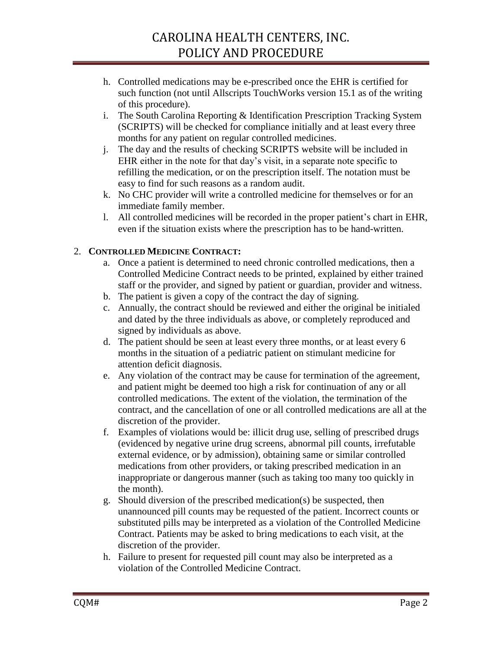# CAROLINA HEALTH CENTERS, INC. POLICY AND PROCEDURE

- h. Controlled medications may be e-prescribed once the EHR is certified for such function (not until Allscripts TouchWorks version 15.1 as of the writing of this procedure).
- i. The South Carolina Reporting & Identification Prescription Tracking System (SCRIPTS) will be checked for compliance initially and at least every three months for any patient on regular controlled medicines.
- j. The day and the results of checking SCRIPTS website will be included in EHR either in the note for that day's visit, in a separate note specific to refilling the medication, or on the prescription itself. The notation must be easy to find for such reasons as a random audit.
- k. No CHC provider will write a controlled medicine for themselves or for an immediate family member.
- l. All controlled medicines will be recorded in the proper patient's chart in EHR, even if the situation exists where the prescription has to be hand-written.

## 2. **CONTROLLED MEDICINE CONTRACT:**

- a. Once a patient is determined to need chronic controlled medications, then a Controlled Medicine Contract needs to be printed, explained by either trained staff or the provider, and signed by patient or guardian, provider and witness.
- b. The patient is given a copy of the contract the day of signing.
- c. Annually, the contract should be reviewed and either the original be initialed and dated by the three individuals as above, or completely reproduced and signed by individuals as above.
- d. The patient should be seen at least every three months, or at least every 6 months in the situation of a pediatric patient on stimulant medicine for attention deficit diagnosis.
- e. Any violation of the contract may be cause for termination of the agreement, and patient might be deemed too high a risk for continuation of any or all controlled medications. The extent of the violation, the termination of the contract, and the cancellation of one or all controlled medications are all at the discretion of the provider.
- f. Examples of violations would be: illicit drug use, selling of prescribed drugs (evidenced by negative urine drug screens, abnormal pill counts, irrefutable external evidence, or by admission), obtaining same or similar controlled medications from other providers, or taking prescribed medication in an inappropriate or dangerous manner (such as taking too many too quickly in the month).
- g. Should diversion of the prescribed medication(s) be suspected, then unannounced pill counts may be requested of the patient. Incorrect counts or substituted pills may be interpreted as a violation of the Controlled Medicine Contract. Patients may be asked to bring medications to each visit, at the discretion of the provider.
- h. Failure to present for requested pill count may also be interpreted as a violation of the Controlled Medicine Contract.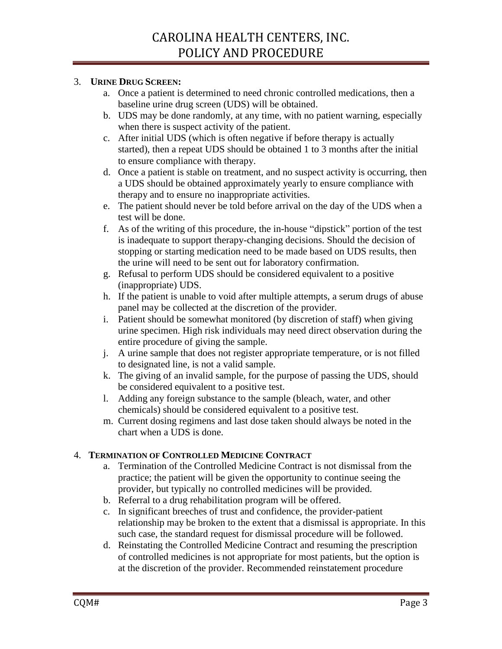### 3. **URINE DRUG SCREEN:**

- a. Once a patient is determined to need chronic controlled medications, then a baseline urine drug screen (UDS) will be obtained.
- b. UDS may be done randomly, at any time, with no patient warning, especially when there is suspect activity of the patient.
- c. After initial UDS (which is often negative if before therapy is actually started), then a repeat UDS should be obtained 1 to 3 months after the initial to ensure compliance with therapy.
- d. Once a patient is stable on treatment, and no suspect activity is occurring, then a UDS should be obtained approximately yearly to ensure compliance with therapy and to ensure no inappropriate activities.
- e. The patient should never be told before arrival on the day of the UDS when a test will be done.
- f. As of the writing of this procedure, the in-house "dipstick" portion of the test is inadequate to support therapy-changing decisions. Should the decision of stopping or starting medication need to be made based on UDS results, then the urine will need to be sent out for laboratory confirmation.
- g. Refusal to perform UDS should be considered equivalent to a positive (inappropriate) UDS.
- h. If the patient is unable to void after multiple attempts, a serum drugs of abuse panel may be collected at the discretion of the provider.
- i. Patient should be somewhat monitored (by discretion of staff) when giving urine specimen. High risk individuals may need direct observation during the entire procedure of giving the sample.
- j. A urine sample that does not register appropriate temperature, or is not filled to designated line, is not a valid sample.
- k. The giving of an invalid sample, for the purpose of passing the UDS, should be considered equivalent to a positive test.
- l. Adding any foreign substance to the sample (bleach, water, and other chemicals) should be considered equivalent to a positive test.
- m. Current dosing regimens and last dose taken should always be noted in the chart when a UDS is done.

## 4. **TERMINATION OF CONTROLLED MEDICINE CONTRACT**

- a. Termination of the Controlled Medicine Contract is not dismissal from the practice; the patient will be given the opportunity to continue seeing the provider, but typically no controlled medicines will be provided.
- b. Referral to a drug rehabilitation program will be offered.
- c. In significant breeches of trust and confidence, the provider-patient relationship may be broken to the extent that a dismissal is appropriate. In this such case, the standard request for dismissal procedure will be followed.
- d. Reinstating the Controlled Medicine Contract and resuming the prescription of controlled medicines is not appropriate for most patients, but the option is at the discretion of the provider. Recommended reinstatement procedure